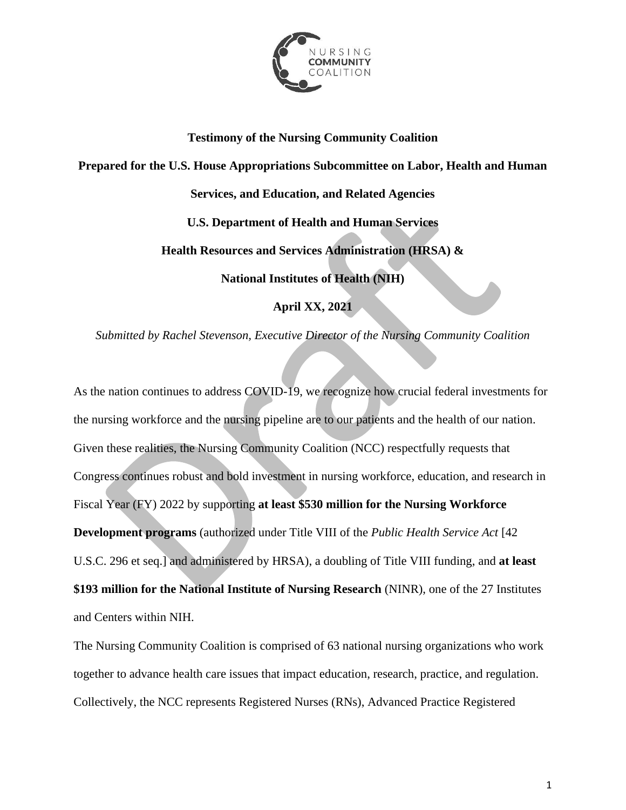

# **Testimony of the Nursing Community Coalition**

**Prepared for the U.S. House Appropriations Subcommittee on Labor, Health and Human** 

**Services, and Education, and Related Agencies**

**U.S. Department of Health and Human Services**

**Health Resources and Services Administration (HRSA) &** 

**National Institutes of Health (NIH)**

**April XX, 2021**

*Submitted by Rachel Stevenson, Executive Director of the Nursing Community Coalition*

As the nation continues to address COVID-19, we recognize how crucial federal investments for the nursing workforce and the nursing pipeline are to our patients and the health of our nation. Given these realities, the Nursing Community Coalition (NCC) respectfully requests that Congress continues robust and bold investment in nursing workforce, education, and research in Fiscal Year (FY) 2022 by supporting **at least \$530 million for the Nursing Workforce Development programs** (authorized under Title VIII of the *Public Health Service Act* [42 U.S.C. 296 et seq.] and administered by HRSA), a doubling of Title VIII funding, and **at least \$193 million for the National Institute of Nursing Research** (NINR), one of the 27 Institutes and Centers within NIH.

The Nursing Community Coalition is comprised of 63 national nursing organizations who work together to advance health care issues that impact education, research, practice, and regulation. Collectively, the NCC represents Registered Nurses (RNs), Advanced Practice Registered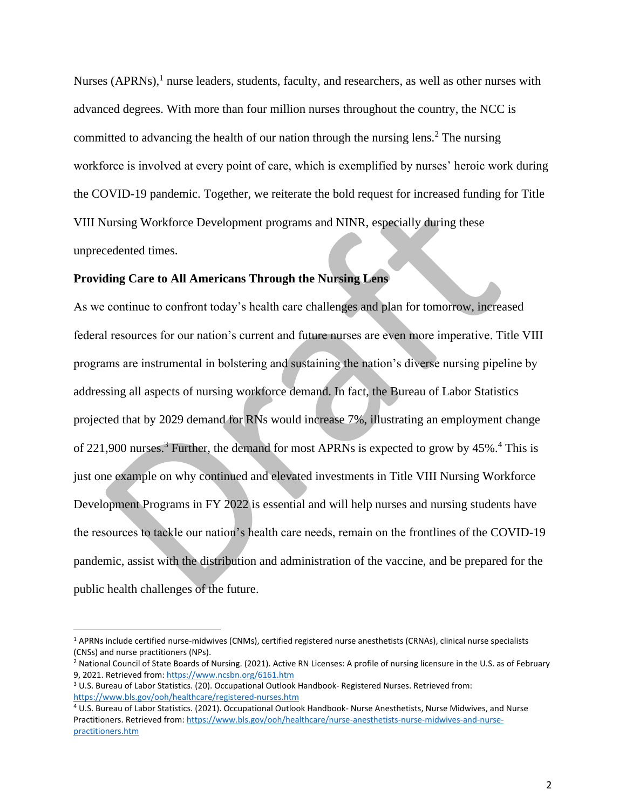Nurses (APRNs), $<sup>1</sup>$  nurse leaders, students, faculty, and researchers, as well as other nurses with</sup> advanced degrees. With more than four million nurses throughout the country, the NCC is committed to advancing the health of our nation through the nursing lens.<sup>2</sup> The nursing workforce is involved at every point of care, which is exemplified by nurses' heroic work during the COVID-19 pandemic. Together, we reiterate the bold request for increased funding for Title VIII Nursing Workforce Development programs and NINR, especially during these unprecedented times.

#### **Providing Care to All Americans Through the Nursing Lens**

As we continue to confront today's health care challenges and plan for tomorrow, increased federal resources for our nation's current and future nurses are even more imperative. Title VIII programs are instrumental in bolstering and sustaining the nation's diverse nursing pipeline by addressing all aspects of nursing workforce demand. In fact, the Bureau of Labor Statistics projected that by 2029 demand for RNs would increase 7%, illustrating an employment change of 221,900 nurses.<sup>3</sup> Further, the demand for most APRNs is expected to grow by  $45\%$ .<sup>4</sup> This is just one example on why continued and elevated investments in Title VIII Nursing Workforce Development Programs in FY 2022 is essential and will help nurses and nursing students have the resources to tackle our nation's health care needs, remain on the frontlines of the COVID-19 pandemic, assist with the distribution and administration of the vaccine, and be prepared for the public health challenges of the future.

<sup>1</sup> APRNs include certified nurse-midwives (CNMs), certified registered nurse anesthetists (CRNAs), clinical nurse specialists (CNSs) and nurse practitioners (NPs).

<sup>&</sup>lt;sup>2</sup> National Council of State Boards of Nursing. (2021). Active RN Licenses: A profile of nursing licensure in the U.S. as of February 9, 2021. Retrieved from[: https://www.ncsbn.org/6161.htm](https://www.ncsbn.org/6161.htm)

<sup>3</sup> U.S. Bureau of Labor Statistics. (20). Occupational Outlook Handbook- Registered Nurses. Retrieved from: <https://www.bls.gov/ooh/healthcare/registered-nurses.htm>

<sup>4</sup> U.S. Bureau of Labor Statistics. (2021). Occupational Outlook Handbook- Nurse Anesthetists, Nurse Midwives, and Nurse Practitioners. Retrieved from[: https://www.bls.gov/ooh/healthcare/nurse-anesthetists-nurse-midwives-and-nurse](https://www.bls.gov/ooh/healthcare/nurse-anesthetists-nurse-midwives-and-nurse-practitioners.htm)[practitioners.htm](https://www.bls.gov/ooh/healthcare/nurse-anesthetists-nurse-midwives-and-nurse-practitioners.htm)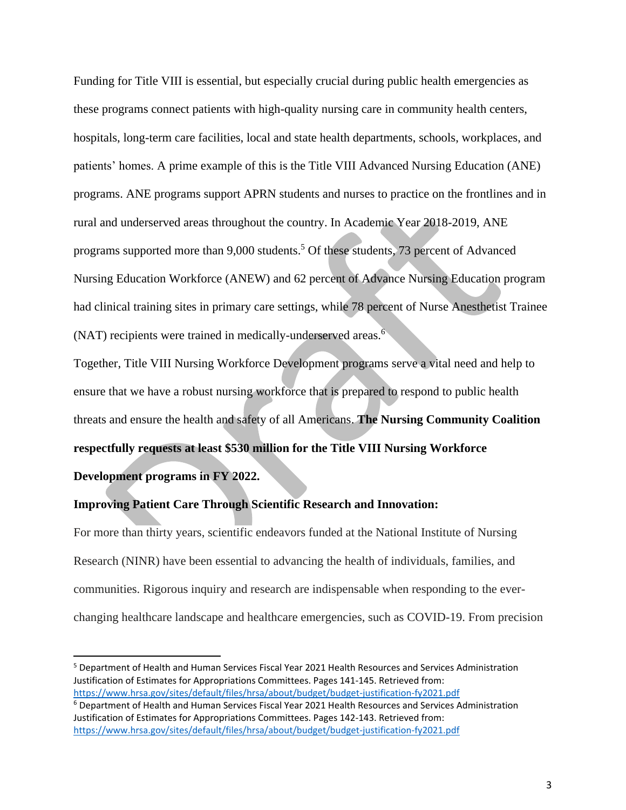Funding for Title VIII is essential, but especially crucial during public health emergencies as these programs connect patients with high-quality nursing care in community health centers, hospitals, long-term care facilities, local and state health departments, schools, workplaces, and patients' homes. A prime example of this is the Title VIII Advanced Nursing Education (ANE) programs. ANE programs support APRN students and nurses to practice on the frontlines and in rural and underserved areas throughout the country. In Academic Year 2018-2019, ANE programs supported more than 9,000 students.<sup>5</sup> Of these students, 73 percent of Advanced Nursing Education Workforce (ANEW) and 62 percent of Advance Nursing Education program had clinical training sites in primary care settings, while 78 percent of Nurse Anesthetist Trainee (NAT) recipients were trained in medically-underserved areas. $6\overline{ }$ 

Together, Title VIII Nursing Workforce Development programs serve a vital need and help to ensure that we have a robust nursing workforce that is prepared to respond to public health threats and ensure the health and safety of all Americans. **The Nursing Community Coalition respectfully requests at least \$530 million for the Title VIII Nursing Workforce Development programs in FY 2022.**

### **Improving Patient Care Through Scientific Research and Innovation:**

For more than thirty years, scientific endeavors funded at the National Institute of Nursing Research (NINR) have been essential to advancing the health of individuals, families, and communities. Rigorous inquiry and research are indispensable when responding to the everchanging healthcare landscape and healthcare emergencies, such as COVID-19. From precision

<sup>5</sup> Department of Health and Human Services Fiscal Year 2021 Health Resources and Services Administration Justification of Estimates for Appropriations Committees. Pages 141-145. Retrieved from: <https://www.hrsa.gov/sites/default/files/hrsa/about/budget/budget-justification-fy2021.pdf>

<sup>6</sup> Department of Health and Human Services Fiscal Year 2021 Health Resources and Services Administration Justification of Estimates for Appropriations Committees. Pages 142-143. Retrieved from: <https://www.hrsa.gov/sites/default/files/hrsa/about/budget/budget-justification-fy2021.pdf>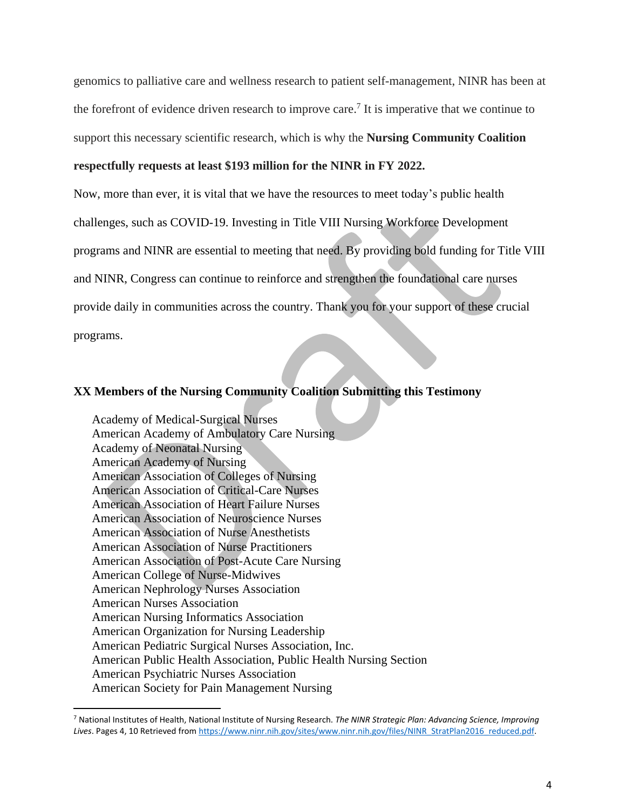genomics to palliative care and wellness research to patient self-management, NINR has been at the forefront of evidence driven research to improve care.<sup>7</sup> It is imperative that we continue to support this necessary scientific research, which is why the **Nursing Community Coalition**

### **respectfully requests at least \$193 million for the NINR in FY 2022.**

Now, more than ever, it is vital that we have the resources to meet today's public health challenges, such as COVID-19. Investing in Title VIII Nursing Workforce Development programs and NINR are essential to meeting that need. By providing bold funding for Title VIII and NINR, Congress can continue to reinforce and strengthen the foundational care nurses provide daily in communities across the country. Thank you for your support of these crucial programs.

## **XX Members of the Nursing Community Coalition Submitting this Testimony**

Academy of Medical-Surgical Nurses American Academy of Ambulatory Care Nursing Academy of Neonatal Nursing American Academy of Nursing American Association of Colleges of Nursing American Association of Critical-Care Nurses American Association of Heart Failure Nurses American Association of Neuroscience Nurses American Association of Nurse Anesthetists American Association of Nurse Practitioners American Association of Post-Acute Care Nursing American College of Nurse-Midwives American Nephrology Nurses Association American Nurses Association American Nursing Informatics Association American Organization for Nursing Leadership American Pediatric Surgical Nurses Association, Inc. American Public Health Association, Public Health Nursing Section American Psychiatric Nurses Association American Society for Pain Management Nursing

<sup>7</sup> National Institutes of Health, National Institute of Nursing Research. *The NINR Strategic Plan: Advancing Science, Improving*  Lives. Pages 4, 10 Retrieved fro[m https://www.ninr.nih.gov/sites/www.ninr.nih.gov/files/NINR\\_StratPlan2016\\_reduced.pdf.](https://www.ninr.nih.gov/sites/www.ninr.nih.gov/files/NINR_StratPlan2016_reduced.pdf)